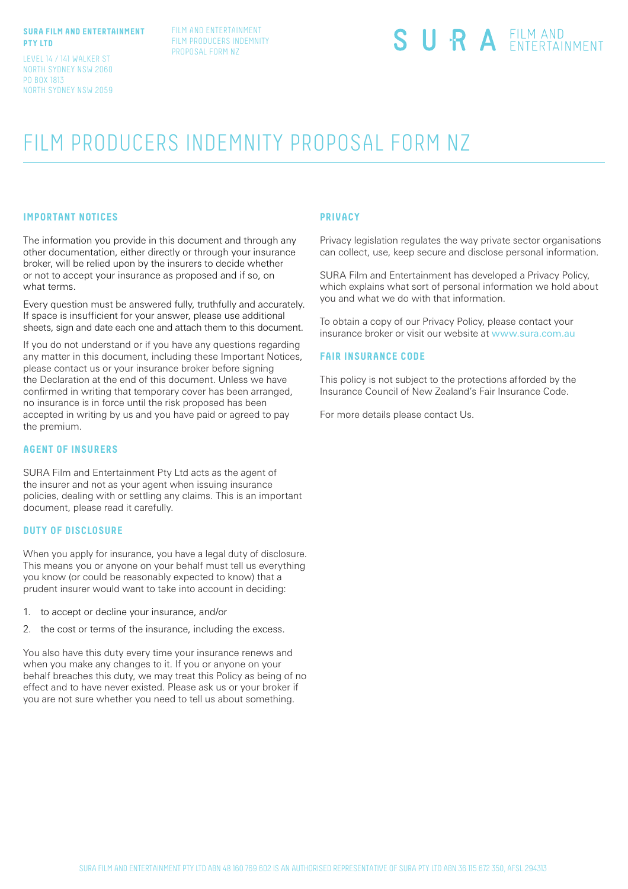#### **SURA FILM AND ENTERTAINMENT PTY LTD**

LEVEL 14 / 141 WALKER ST NORTH SYDNEY NSW 2060 PO BOX 1813 NORTH SYDNEY NSW 2059

# SURA EILM AND

# FILM PRODUCERS INDEMNITY PROPOSAL FORM NZ

## **IMPORTANT NOTICES**

The information you provide in this document and through any other documentation, either directly or through your insurance broker, will be relied upon by the insurers to decide whether or not to accept your insurance as proposed and if so, on what terms.

Every question must be answered fully, truthfully and accurately. If space is insufficient for your answer, please use additional sheets, sign and date each one and attach them to this document.

If you do not understand or if you have any questions regarding any matter in this document, including these Important Notices, please contact us or your insurance broker before signing the Declaration at the end of this document. Unless we have confirmed in writing that temporary cover has been arranged, no insurance is in force until the risk proposed has been accepted in writing by us and you have paid or agreed to pay the premium.

#### **AGENT OF INSURERS**

SURA Film and Entertainment Pty Ltd acts as the agent of the insurer and not as your agent when issuing insurance policies, dealing with or settling any claims. This is an important document, please read it carefully.

#### **DUTY OF DISCLOSURE**

When you apply for insurance, you have a legal duty of disclosure. This means you or anyone on your behalf must tell us everything you know (or could be reasonably expected to know) that a prudent insurer would want to take into account in deciding:

- 1. to accept or decline your insurance, and/or
- 2. the cost or terms of the insurance, including the excess.

You also have this duty every time your insurance renews and when you make any changes to it. If you or anyone on your behalf breaches this duty, we may treat this Policy as being of no effect and to have never existed. Please ask us or your broker if you are not sure whether you need to tell us about something.

#### **PRIVACY**

Privacy legislation regulates the way private sector organisations can collect, use, keep secure and disclose personal information.

SURA Film and Entertainment has developed a Privacy Policy, which explains what sort of personal information we hold about you and what we do with that information.

To obtain a copy of our Privacy Policy, please contact your insurance broker or visit our website at www.sura.com.au

#### **FAIR INSURANCE CODE**

This policy is not subject to the protections afforded by the Insurance Council of New Zealand's Fair Insurance Code.

For more details please contact Us.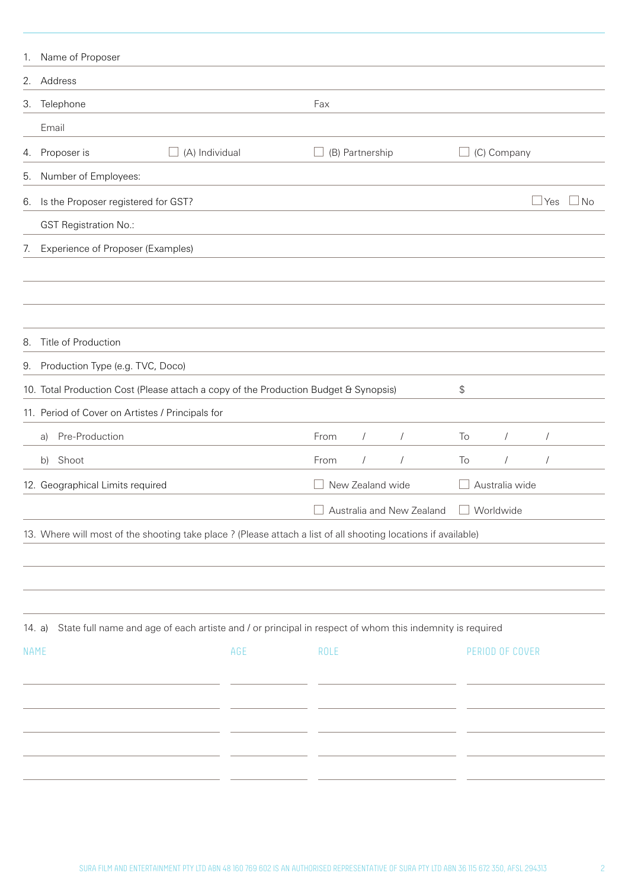| 1.          | Name of Proposer                                                                                                   |      |                  |                           |    |                 |            |    |
|-------------|--------------------------------------------------------------------------------------------------------------------|------|------------------|---------------------------|----|-----------------|------------|----|
|             | 2. Address                                                                                                         |      |                  |                           |    |                 |            |    |
| 3.          | Telephone                                                                                                          | Fax  |                  |                           |    |                 |            |    |
|             | Email                                                                                                              |      |                  |                           |    |                 |            |    |
| 4.          | (A) Individual<br>Proposer is<br>$\Box$                                                                            |      | (B) Partnership  |                           |    | (C) Company     |            |    |
| 5.          | Number of Employees:                                                                                               |      |                  |                           |    |                 |            |    |
| 6.          | Is the Proposer registered for GST?                                                                                |      |                  |                           |    |                 | Yes        | No |
|             | <b>GST Registration No.:</b>                                                                                       |      |                  |                           |    |                 |            |    |
| 7.          | Experience of Proposer (Examples)                                                                                  |      |                  |                           |    |                 |            |    |
|             |                                                                                                                    |      |                  |                           |    |                 |            |    |
|             |                                                                                                                    |      |                  |                           |    |                 |            |    |
|             |                                                                                                                    |      |                  |                           |    |                 |            |    |
| 8.          | Title of Production                                                                                                |      |                  |                           |    |                 |            |    |
| 9.          | Production Type (e.g. TVC, Doco)                                                                                   |      |                  |                           |    |                 |            |    |
|             | 10. Total Production Cost (Please attach a copy of the Production Budget & Synopsis)                               |      |                  |                           | \$ |                 |            |    |
|             | 11. Period of Cover on Artistes / Principals for                                                                   |      |                  |                           |    |                 |            |    |
|             | Pre-Production<br>a)                                                                                               | From | $\sqrt{2}$       | $\sqrt{ }$                | To | $\sqrt{2}$      | $\sqrt{ }$ |    |
|             | b) Shoot                                                                                                           | From | $\sqrt{2}$       | $\sqrt{ }$                | To | $\sqrt{2}$      | $\sqrt{2}$ |    |
|             | 12. Geographical Limits required                                                                                   |      | New Zealand wide |                           |    | Australia wide  |            |    |
|             |                                                                                                                    |      |                  | Australia and New Zealand |    | Worldwide       |            |    |
|             | 13. Where will most of the shooting take place ? (Please attach a list of all shooting locations if available)     |      |                  |                           |    |                 |            |    |
|             |                                                                                                                    |      |                  |                           |    |                 |            |    |
|             |                                                                                                                    |      |                  |                           |    |                 |            |    |
|             |                                                                                                                    |      |                  |                           |    |                 |            |    |
|             | State full name and age of each artiste and / or principal in respect of whom this indemnity is required<br>14. a) |      |                  |                           |    |                 |            |    |
| <b>NAME</b> | AGE                                                                                                                | ROLE |                  |                           |    | PERIOD OF COVER |            |    |
|             |                                                                                                                    |      |                  |                           |    |                 |            |    |
|             |                                                                                                                    |      |                  |                           |    |                 |            |    |
|             |                                                                                                                    |      |                  |                           |    |                 |            |    |
|             |                                                                                                                    |      |                  |                           |    |                 |            |    |
|             |                                                                                                                    |      |                  |                           |    |                 |            |    |
|             |                                                                                                                    |      |                  |                           |    |                 |            |    |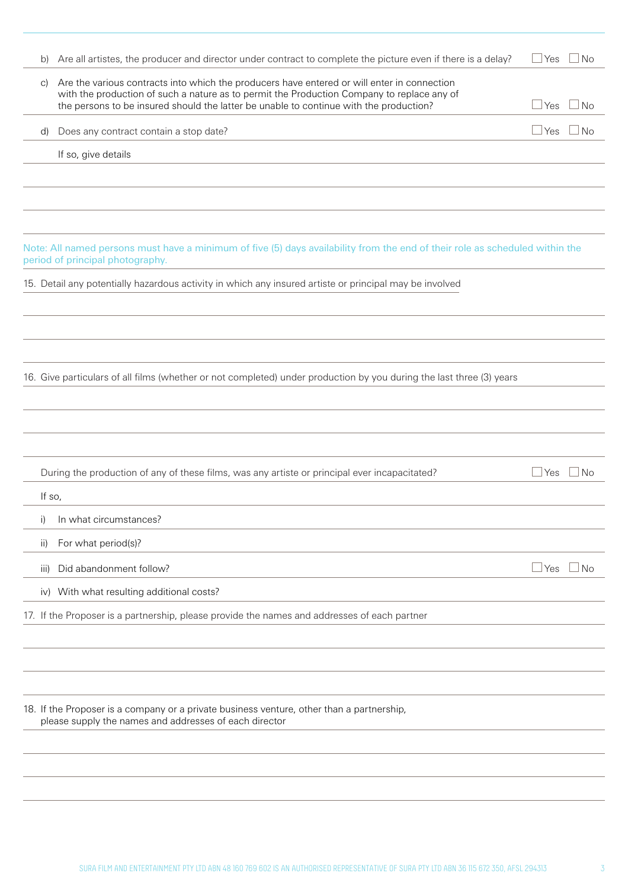| b)     | Are all artistes, the producer and director under contract to complete the picture even if there is a delay?                                                                         | ⊿ Yes      | No        |
|--------|--------------------------------------------------------------------------------------------------------------------------------------------------------------------------------------|------------|-----------|
| C)     | Are the various contracts into which the producers have entered or will enter in connection                                                                                          |            |           |
|        | with the production of such a nature as to permit the Production Company to replace any of<br>the persons to be insured should the latter be unable to continue with the production? | $\Box$ Yes | No        |
| d)     | Does any contract contain a stop date?                                                                                                                                               | $\Box$ Yes | No        |
|        | If so, give details                                                                                                                                                                  |            |           |
|        |                                                                                                                                                                                      |            |           |
|        |                                                                                                                                                                                      |            |           |
|        |                                                                                                                                                                                      |            |           |
|        | Note: All named persons must have a minimum of five (5) days availability from the end of their role as scheduled within the<br>period of principal photography.                     |            |           |
|        | 15. Detail any potentially hazardous activity in which any insured artiste or principal may be involved                                                                              |            |           |
|        |                                                                                                                                                                                      |            |           |
|        |                                                                                                                                                                                      |            |           |
|        |                                                                                                                                                                                      |            |           |
|        | 16. Give particulars of all films (whether or not completed) under production by you during the last three (3) years                                                                 |            |           |
|        |                                                                                                                                                                                      |            |           |
|        |                                                                                                                                                                                      |            |           |
|        | During the production of any of these films, was any artiste or principal ever incapacitated?                                                                                        | $\Box$ Yes | No        |
| If so, |                                                                                                                                                                                      |            |           |
| i)     | In what circumstances?                                                                                                                                                               |            |           |
| ii)    | For what period(s)?                                                                                                                                                                  |            |           |
| iii)   | Did abandonment follow?                                                                                                                                                              | $\Box$ Yes | <b>No</b> |
|        | iv) With what resulting additional costs?                                                                                                                                            |            |           |
|        | 17. If the Proposer is a partnership, please provide the names and addresses of each partner                                                                                         |            |           |
|        |                                                                                                                                                                                      |            |           |
|        |                                                                                                                                                                                      |            |           |
|        |                                                                                                                                                                                      |            |           |
|        | 18. If the Proposer is a company or a private business venture, other than a partnership,<br>please supply the names and addresses of each director                                  |            |           |
|        |                                                                                                                                                                                      |            |           |
|        |                                                                                                                                                                                      |            |           |
|        |                                                                                                                                                                                      |            |           |
|        |                                                                                                                                                                                      |            |           |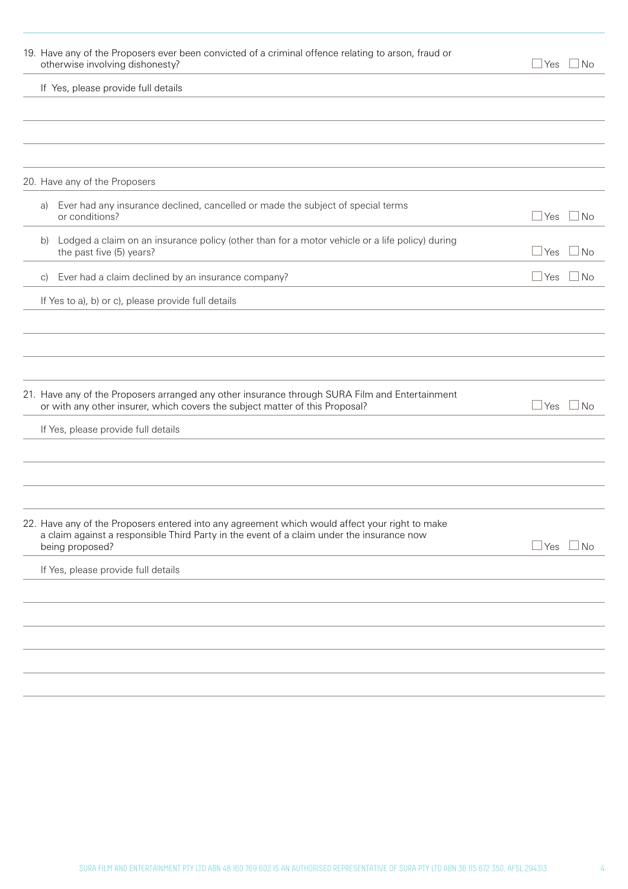| 19. Have any of the Proposers ever been convicted of a criminal offence relating to arson, fraud or<br>otherwise involving dishonesty?                                                                         | $\sqcup$ Yes | ⊥No       |
|----------------------------------------------------------------------------------------------------------------------------------------------------------------------------------------------------------------|--------------|-----------|
| If Yes, please provide full details                                                                                                                                                                            |              |           |
|                                                                                                                                                                                                                |              |           |
|                                                                                                                                                                                                                |              |           |
| 20. Have any of the Proposers                                                                                                                                                                                  |              |           |
| Ever had any insurance declined, cancelled or made the subject of special terms<br>a)<br>or conditions?                                                                                                        | $\Box$ Yes   | $\Box$ No |
| Lodged a claim on an insurance policy (other than for a motor vehicle or a life policy) during<br>b)<br>the past five (5) years?                                                                               | $\Box$ Yes   | l No      |
| Ever had a claim declined by an insurance company?<br>$\mathcal{C}$                                                                                                                                            | $\sqcup$ Yes | No.       |
| If Yes to a), b) or c), please provide full details                                                                                                                                                            |              |           |
|                                                                                                                                                                                                                |              |           |
|                                                                                                                                                                                                                |              |           |
| 21. Have any of the Proposers arranged any other insurance through SURA Film and Entertainment<br>or with any other insurer, which covers the subject matter of this Proposal?                                 | $\Box$ Yes   | ⊿ No      |
| If Yes, please provide full details                                                                                                                                                                            |              |           |
|                                                                                                                                                                                                                |              |           |
|                                                                                                                                                                                                                |              |           |
| 22. Have any of the Proposers entered into any agreement which would affect your right to make<br>a claim against a responsible Third Party in the event of a claim under the insurance now<br>being proposed? | Yes _        | $\Box$ No |
| If Yes, please provide full details                                                                                                                                                                            |              |           |
|                                                                                                                                                                                                                |              |           |
|                                                                                                                                                                                                                |              |           |
|                                                                                                                                                                                                                |              |           |
|                                                                                                                                                                                                                |              |           |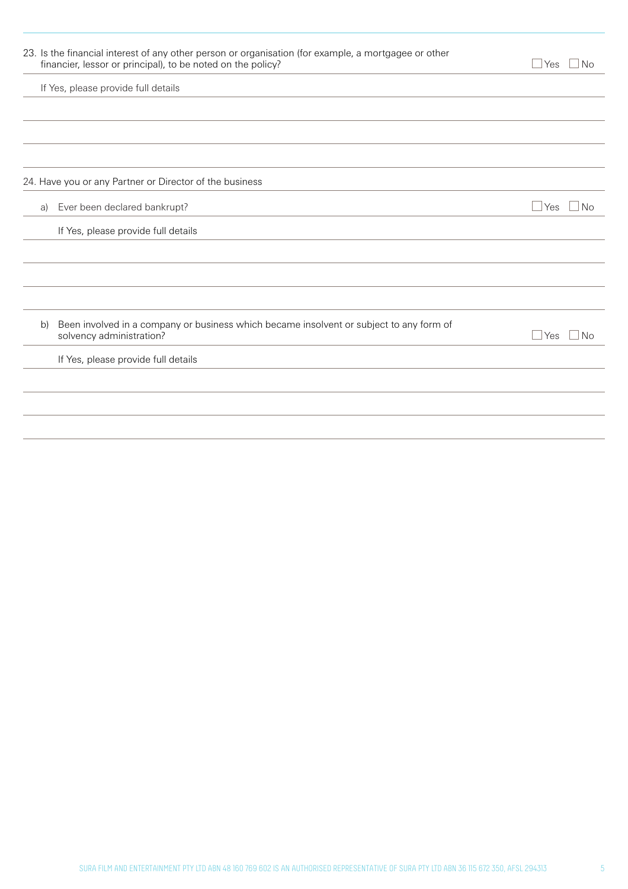|    | 23. Is the financial interest of any other person or organisation (for example, a mortgagee or other<br>financier, lessor or principal), to be noted on the policy? | l Yes<br>J No              |
|----|---------------------------------------------------------------------------------------------------------------------------------------------------------------------|----------------------------|
|    | If Yes, please provide full details                                                                                                                                 |                            |
|    |                                                                                                                                                                     |                            |
|    |                                                                                                                                                                     |                            |
|    |                                                                                                                                                                     |                            |
|    | 24. Have you or any Partner or Director of the business                                                                                                             |                            |
| a) | Ever been declared bankrupt?                                                                                                                                        | $\Box$ No<br>$\exists$ Yes |
|    | If Yes, please provide full details                                                                                                                                 |                            |
|    |                                                                                                                                                                     |                            |
|    |                                                                                                                                                                     |                            |
|    |                                                                                                                                                                     |                            |
| b) | Been involved in a company or business which became insolvent or subject to any form of<br>solvency administration?                                                 | $\sqcup$ Yes<br>$\Box$ No  |
|    | If Yes, please provide full details                                                                                                                                 |                            |
|    |                                                                                                                                                                     |                            |
|    |                                                                                                                                                                     |                            |
|    |                                                                                                                                                                     |                            |